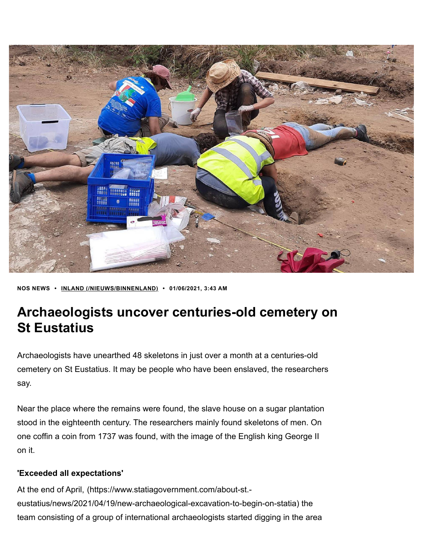

**NOS NEWS • INLAND • 01/06/2021, 3:43 AM [\(/NIEUWS/BINNENLAND\)](https://nos.nl/nieuws/binnenland)**

## **Archaeologists uncover centuries-old cemetery on St Eustatius**

Archaeologists have unearthed 48 skeletons in just over a month at a centuries-old cemetery on St Eustatius. It may be people who have been enslaved, the researchers say.

Near the place where the remains were found, the slave house on a sugar plantation stood in the eighteenth century. The researchers mainly found skeletons of men. On one coffin a coin from 1737 was found, with the image of the English king George II on it.

## **'Exceeded all expectations'**

At the end of April, (https://www.statiagovernment.com/about-st. [eustatius/news/2021/04/19/new-archaeological-excavation-to-begin-on-statia\)](https://www.statiagovernment.com/about-st.-eustatius/news/2021/04/19/new-archaeological-excavation-to-begin-on-statia) the team consisting of a group of international archaeologists started digging in the area